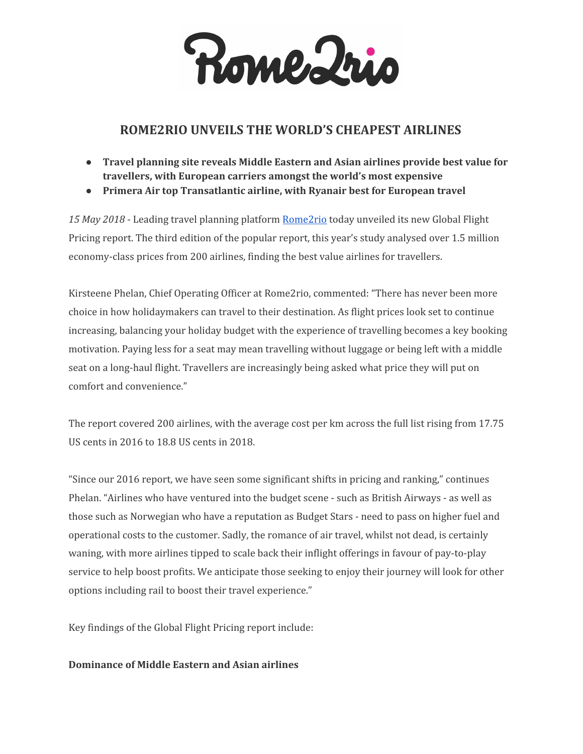Rome Irio

# **ROME2RIO UNVEILS THE WORLD'S CHEAPEST AIRLINES**

- **● Travel planning site reveals Middle Eastern and Asian airlines provide best value for travellers, with European carriers amongst the world's most expensive**
- **● Primera Air top Transatlantic airline, with Ryanair best for European travel**

*15 May 2018* - Leading travel planning platform [Rome2rio](http://www.rome2rio.com/) today unveiled its new Global Flight Pricing report. The third edition of the popular report, this year's study analysed over 1.5 million economy-class prices from 200 airlines, finding the best value airlines for travellers.

Kirsteene Phelan, Chief Operating Officer at Rome2rio, commented: "There has never been more choice in how holidaymakers can travel to their destination. As flight prices look set to continue increasing, balancing your holiday budget with the experience of travelling becomes a key booking motivation. Paying less for a seat may mean travelling without luggage or being left with a middle seat on a long-haul flight. Travellers are increasingly being asked what price they will put on comfort and convenience."

The report covered 200 airlines, with the average cost per km across the full list rising from 17.75 US cents in 2016 to 18.8 US cents in 2018.

"Since our 2016 report, we have seen some significant shifts in pricing and ranking," continues Phelan. "Airlines who have ventured into the budget scene - such as British Airways - as well as those such as Norwegian who have a reputation as Budget Stars - need to pass on higher fuel and operational costs to the customer. Sadly, the romance of air travel, whilst not dead, is certainly waning, with more airlines tipped to scale back their inflight offerings in favour of pay-to-play service to help boost profits. We anticipate those seeking to enjoy their journey will look for other options including rail to boost their travel experience."

Key findings of the Global Flight Pricing report include:

# **Dominance of Middle Eastern and Asian airlines**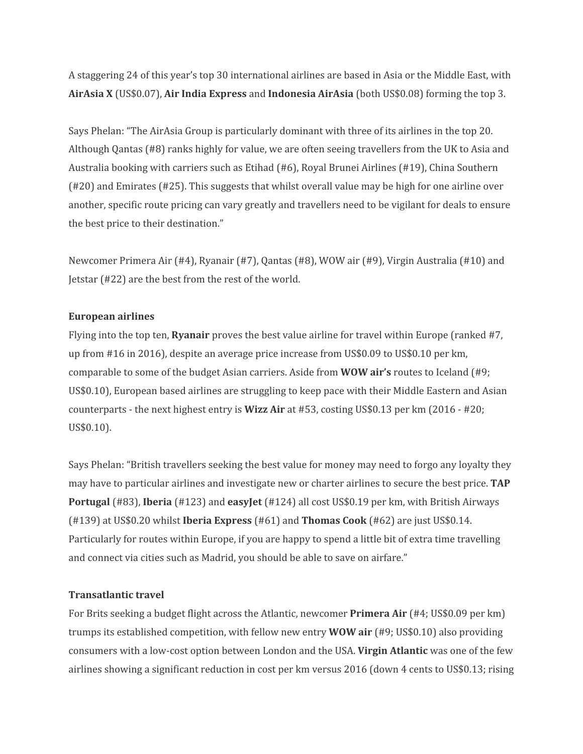A staggering 24 of this year's top 30 international airlines are based in Asia or the Middle East, with **AirAsia X** (US\$0.07), **Air India Express** and **Indonesia AirAsia** (both US\$0.08) forming the top 3.

Says Phelan: "The AirAsia Group is particularly dominant with three of its airlines in the top 20. Although Qantas (#8) ranks highly for value, we are often seeing travellers from the UK to Asia and Australia booking with carriers such as Etihad (#6), Royal Brunei Airlines (#19), China Southern (#20) and Emirates (#25). This suggests that whilst overall value may be high for one airline over another, specific route pricing can vary greatly and travellers need to be vigilant for deals to ensure the best price to their destination."

Newcomer Primera Air (#4), Ryanair (#7), Qantas (#8), WOW air (#9), Virgin Australia (#10) and Jetstar (#22) are the best from the rest of the world.

## **European airlines**

Flying into the top ten, **Ryanair** proves the best value airline for travel within Europe (ranked #7, up from #16 in 2016), despite an average price increase from US\$0.09 to US\$0.10 per km, comparable to some of the budget Asian carriers. Aside from **WOW air's** routes to Iceland (#9; US\$0.10), European based airlines are struggling to keep pace with their Middle Eastern and Asian counterparts - the next highest entry is **Wizz Air** at #53, costing US\$0.13 per km (2016 - #20; US\$0.10).

Says Phelan: "British travellers seeking the best value for money may need to forgo any loyalty they may have to particular airlines and investigate new or charter airlines to secure the best price. **TAP Portugal** (#83), **Iberia** (#123) and **easyJet** (#124) all cost US\$0.19 per km, with British Airways (#139) at US\$0.20 whilst **Iberia Express** (#61) and **Thomas Cook** (#62) are just US\$0.14. Particularly for routes within Europe, if you are happy to spend a little bit of extra time travelling and connect via cities such as Madrid, you should be able to save on airfare."

# **Transatlantic travel**

For Brits seeking a budget flight across the Atlantic, newcomer **Primera Air** (#4; US\$0.09 per km) trumps its established competition, with fellow new entry **WOW air** (#9; US\$0.10) also providing consumers with a low-cost option between London and the USA. **Virgin Atlantic** was one of the few airlines showing a significant reduction in cost per km versus 2016 (down 4 cents to US\$0.13; rising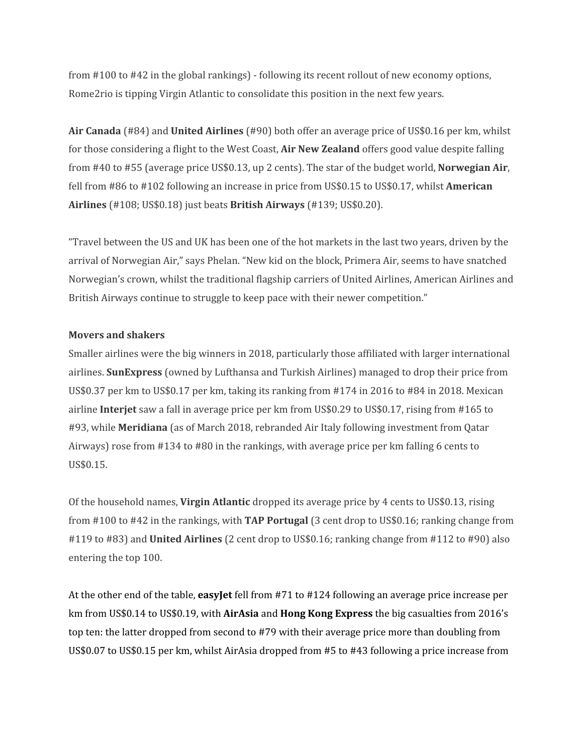from #100 to #42 in the global rankings) - following its recent rollout of new economy options, Rome2rio is tipping Virgin Atlantic to consolidate this position in the next few years.

**Air Canada** (#84) and **United Airlines** (#90) both offer an average price of US\$0.16 per km, whilst for those considering a flight to the West Coast, **Air New Zealand** offers good value despite falling from #40 to #55 (average price US\$0.13, up 2 cents). The star of the budget world, **Norwegian Air**, fell from #86 to #102 following an increase in price from US\$0.15 to US\$0.17, whilst **American Airlines** (#108; US\$0.18) just beats **British Airways** (#139; US\$0.20).

"Travel between the US and UK has been one of the hot markets in the last two years, driven by the arrival of Norwegian Air," says Phelan. "New kid on the block, Primera Air, seems to have snatched Norwegian's crown, whilst the traditional flagship carriers of United Airlines, American Airlines and British Airways continue to struggle to keep pace with their newer competition."

## **Movers and shakers**

Smaller airlines were the big winners in 2018, particularly those affiliated with larger international airlines. **SunExpress** (owned by Lufthansa and Turkish Airlines) managed to drop their price from US\$0.37 per km to US\$0.17 per km, taking its ranking from #174 in 2016 to #84 in 2018. Mexican airline **Interjet** saw a fall in average price per km from US\$0.29 to US\$0.17, rising from #165 to #93, while **Meridiana** (as of March 2018, rebranded Air Italy following investment from Qatar Airways) rose from #134 to #80 in the rankings, with average price per km falling 6 cents to US\$0.15.

Of the household names, **Virgin Atlantic** dropped its average price by 4 cents to US\$0.13, rising from #100 to #42 in the rankings, with **TAP Portugal** (3 cent drop to US\$0.16; ranking change from #119 to #83) and **United Airlines** (2 cent drop to US\$0.16; ranking change from #112 to #90) also entering the top 100.

At the other end of the table, **easyJet** fell from #71 to #124 following an average price increase per km from US\$0.14 to US\$0.19, with **AirAsia** and **Hong Kong Express** the big casualties from 2016's top ten: the latter dropped from second to #79 with their average price more than doubling from US\$0.07 to US\$0.15 per km, whilst AirAsia dropped from #5 to #43 following a price increase from